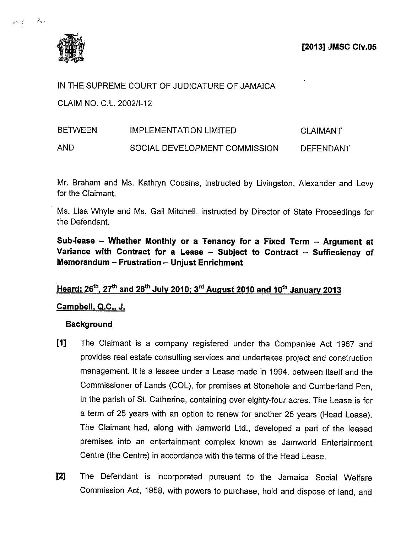

 $\tau_{\infty}$  .

 $\mathcal{A}=\mathcal{A}$  .

IN THE SUPREME COURT OF JUDICATURE OF JAMAICA

CLAIM NO. C.L. 2002/1-12

# BETWEEN IMPLEMENTATION LIMITED CLAIMANT AND SOCIAL DEVELOPMENT COMMISSION DEFENDANT

Mr. Braham and Ms. Kathryn Cousins, instructed by Livingston, Alexander and Levy for the Claimant.

Ms. Lisa Whyte and Ms. Gail Mitchell, instructed by Director of State Proceedings for the Defendant.

Sub-lease — Whether Monthly or a Tenancy for a Fixed Term — Argument at Variance with Contract for a Lease — Subject to Contract — Suffieciency of Memorandum — Frustration — Unjust Enrichment

## Heard:  $26^{th}$ ,  $27^{th}$  and  $28^{th}$  July 2010; 3<sup>rd</sup> August 2010 and 10<sup>th</sup> January 2013

### Campbell, Q.C., J.

### **Background**

- [1] The Claimant is a company registered under the Companies Act 1967 and provides real estate consulting services and undertakes project and construction management. It is a lessee under a Lease made in 1994, between itself and the Commissioner of Lands (COL), for premises at Stonehole and Cumberland Pen, in the parish of St. Catherine, containing over eighty-four acres. The Lease is for a term of 25 years with an option to renew for another 25 years (Head Lease). The Claimant had, along with Jamworld Ltd., developed a part of the leased premises into an entertainment complex known as Jamworld Entertainment Centre (the Centre) in accordance with the terms of the Head Lease.
- [2] The Defendant is incorporated pursuant to the Jamaica Social Welfare Commission Act, 1958, with powers to purchase, hold and dispose of land, and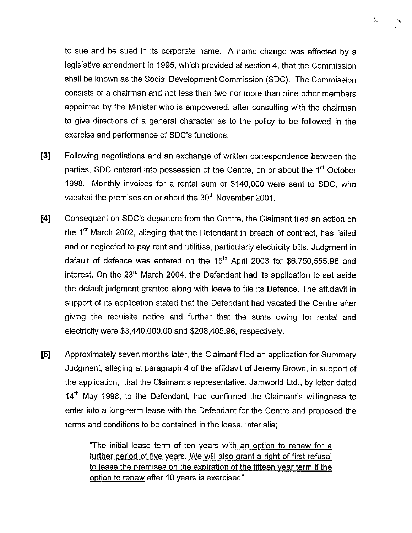to sue and be sued in its corporate name. A name change was effected by a legislative amendment in 1995, which provided at section 4, that the Commission shall be known as the Social Development Commission (SDC). The Commission consists of a chairman and not less than two nor more than nine other members appointed by the Minister who is empowered, after consulting with the chairman to give directions of a general character as to the policy to be followed in the exercise and performance of SDC's functions.

- [3] Following negotiations and an exchange of written correspondence between the parties, SDC entered into possession of the Centre, on or about the 1<sup>st</sup> October 1998. Monthly invoices for a rental sum of \$140,000 were sent to SDC, who vacated the premises on or about the 30<sup>th</sup> November 2001.
- [4] Consequent on SDC's departure from the Centre, the Claimant filed an action on the 1<sup>st</sup> March 2002, alleging that the Defendant in breach of contract, has failed and or neglected to pay rent and utilities, particularly electricity bills. Judgment in default of defence was entered on the  $15<sup>th</sup>$  April 2003 for \$6,750,555.96 and interest. On the  $23<sup>rd</sup>$  March 2004, the Defendant had its application to set aside the default judgment granted along with leave to file its Defence. The affidavit in support of its application stated that the Defendant had vacated the Centre after giving the requisite notice and further that the sums owing for rental and electricity were \$3,440,000.00 and \$208,405.96, respectively.
- [5] Approximately seven months later, the Claimant filed an application for Summary Judgment, alleging at paragraph 4 of the affidavit of Jeremy Brown, in support of the application, that the Claimant's representative, Jamworld Ltd., by letter dated 14<sup>th</sup> May 1998, to the Defendant, had confirmed the Claimant's willingness to enter into a long-term lease with the Defendant for the Centre and proposed the terms and conditions to be contained in the lease, inter alia;

"The initial lease term of ten years with an option to renew for a further period of five years. We will also grant a right of first refusal to lease the premises on the expiration of the fifteen year term if the option to renew after 10 years is exercised".

 $\mathbb{R}_{\mathbb{Z}_2}$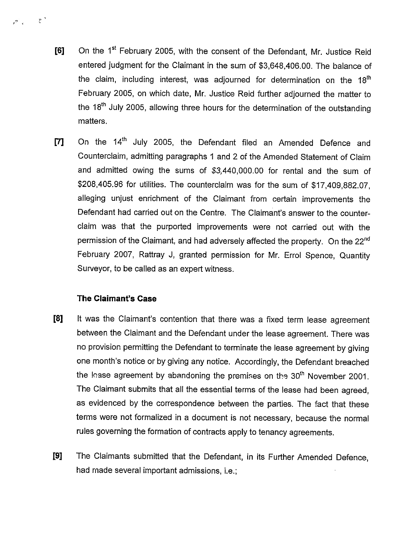- [6] On the 1<sup>st</sup> February 2005, with the consent of the Defendant, Mr. Justice Reid entered judgment for the Claimant in the sum of \$3,648,406.00. The balance of the claim, including interest, was adjourned for determination on the  $18<sup>th</sup>$ February 2005, on which date, Mr. Justice Reid further adjourned the matter to the 18<sup>th</sup> July 2005, allowing three hours for the determination of the outstanding matters.
- [7] On the 14<sup>th</sup> July 2005, the Defendant filed an Amended Defence and Counterclaim, admitting paragraphs <sup>1</sup> and 2 of the Amended Statement of Claim and admitted owing the sums of \$3,440,000.00 for rental and the sum of \$208,405.96 for utilities. The counterclaim was for the sum of \$17,409,882.07, alleging unjust enrichment of the Claimant from certain improvements the Defendant had carried out on the Centre. The Claimant's answer to the counter claim was that the purported improvements were not carried out with the permission of the Claimant, and had adversely affected the property. On the 22<sup>nd</sup> February 2007, Rattray J, granted permission for Mr. Errol Spence, Quantity Surveyor, to be called as an expert witness.

### The Claimant's Case

 $\mathcal{P}_{\mathcal{A}}^{\mathcal{A}} = \mathcal{P}_{\mathcal{A}}^{\mathcal{A}}$ 

- [8] It was the Claimant's contention that there was a fixed term lease agreement between the Claimant and the Defendant under the lease agreement. There was no provision permitting the Defendant to terminate the lease agreement by giving one month's notice or by giving any notice. Accordingly, the Defendant breached the lease agreement by abandoning the premises on the  $30<sup>th</sup>$  November 2001. The Claimant submits that all the essential terms of the lease had been agreed, as evidenced by the correspondence between the parties. The fact that these terms were not formalized in a document is not necessary, because the normal rules governing the formation of contracts apply to tenancy agreements.
- [9] The Claimants submitted that the Defendant, in its Further Amended Defence, had made several important admissions, i.e.;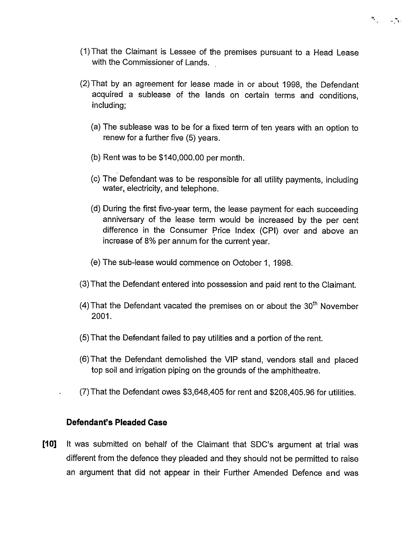

- (1)That the Claimant is Lessee of the premises pursuant to a Head Lease with the Commissioner of Lands.
- (2) That by an agreement for lease made in or about 1998, the Defendant acquired a sublease of the lands on certain terms and conditions, including;
	- (a) The sublease was to be for a fixed term of ten years with an option to renew for a further five (5) years.
	- (b) Rent was to be \$140,000.00 per month.
	- (c) The Defendant was to be responsible for all utility payments, including water, electricity, and telephone.
	- (d) During the first five-year term, the lease payment for each succeeding anniversary of the lease term would be increased by the per cent difference in the Consumer Price Index (CPI) over and above an increase of 8% per annum for the current year.
	- (e) The sub-lease would commence on October 1, 1998.
- (3) That the Defendant entered into possession and paid rent to the Claimant.
- (4) That the Defendant vacated the premises on or about the  $30<sup>th</sup>$  November 2001.
- (5) That the Defendant failed to pay utilities and a portion of the rent.
- (6)That the Defendant demolished the VIP stand, vendors stall and placed top soil and irrigation piping on the grounds of the amphitheatre.
- (7) That the Defendant owes \$3,648,405 for rent and \$208,405.96 for utilities.

### Defendant's Pleaded Case

[10] It was submitted on behalf of the Claimant that SDC's argument at trial was different from the defence they pleaded and they should not be permitted to raise an argument that did not appear in their Further Amended Defence and was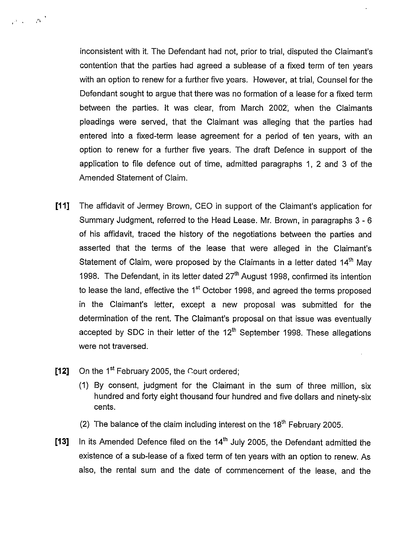inconsistent with it. The Defendant had not, prior to trial, disputed the Claimant's contention that the parties had agreed a sublease of a fixed term of ten years with an option to renew for a further five years. However, at trial, Counsel for the Defendant sought to argue that there was no formation of a lease for a fixed term between the parties. It was clear, from March 2007, when the Claimants pleadings were served, that the Claimant was alleging that the parties had entered into a fixed-term lease agreement for a period of ten years, with an option to renew for a further five years. The draft Defence in support of the application to file defence out of time, admitted paragraphs 1, 2 and 3 of the Amended Statement of Claim.

- [11] The affidavit of Jermey Brown, CEO in support of the Claimant's application for Summary Judgment, referred to the Head Lease. Mr. Brown, in paragraphs 3 - 6 of his affidavit, traced the history of the negotiations between the parties and asserted that the terms of the lease that were alleged in the Claimant's Statement of Claim, were proposed by the Claimants in a letter dated  $14<sup>th</sup>$  May 1998. The Defendant, in its letter dated 27<sup>th</sup> August 1998, confirmed its intention to lease the land, effective the 1<sup>st</sup> October 1998, and agreed the terms proposed in the Claimant's letter, except a new proposal was submitted for the determination of the rent. The Claimant's proposal on that issue was eventually accepted by SDC in their letter of the  $12<sup>th</sup>$  September 1998. These allegations were not traversed.
- [12] On the 1st February 2005, the Court ordered;

 $\rho_{\rm eff} = \rho_{\rm eff}^{-3}$ 

- (1) By consent, judgment for the Claimant in the sum of three million, six hundred and forty eight thousand four hundred and five dollars and ninety-six cents.
- (2) The balance of the claim including interest on the  $18<sup>th</sup>$  February 2005.
- [13] In its Amended Defence filed on the  $14<sup>th</sup>$  July 2005, the Defendant admitted the existence of a sub-lease of a fixed term of ten years with an option to renew. As also, the rental sum and the date of commencement of the lease, and the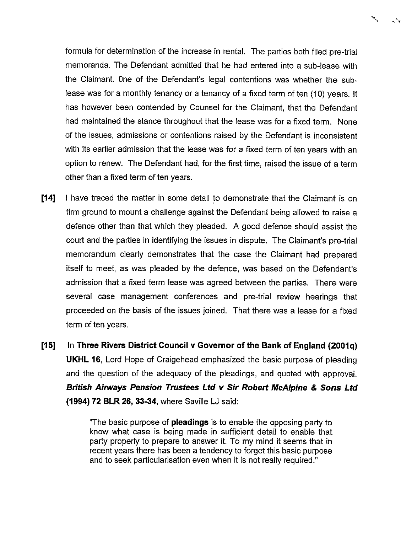formula for determination of the increase in rental. The parties both filed pre-trial memoranda. The Defendant admitted that he had entered into a sub-lease with the Claimant. One of the Defendant's legal contentions was whether the sub lease was for a monthly tenancy or a tenancy of a fixed term of ten (10) years. It has however been contended by Counsel for the Claimant, that the Defendant had maintained the stance throughout that the lease was for a fixed term. None of the issues, admissions or contentions raised by the Defendant is inconsistent with its earlier admission that the lease was for a fixed term of ten years with an option to renew. The Defendant had, for the first time, raised the issue of a term other than a fixed term of ten years.

٠.,

 $\sim -2$ 

- [14] I have traced the matter in some detail to demonstrate that the Claimant is on firm ground to mount a challenge against the Defendant being allowed to raise a defence other than that which they pleaded. A good defence should assist the court and the parties in identifying the issues in dispute. The Claimant's pre-trial memorandum clearly demonstrates that the case the Claimant had prepared itself to meet, as was pleaded by the defence, was based on the Defendant's admission that a fixed term lease was agreed between the parties. There were several case management conferences and pre-trial review hearings that proceeded on the basis of the issues joined. That there was a lease for a fixed term of ten years.
- [15] In Three Rivers District Council v Governor of the Bank of England (2001q) UKHL 16, Lord Hope of Craigehead emphasized the basic purpose of pleading and the question of the adequacy of the pleadings, and quoted with approval. British Airways Pension Trustees Ltd v Sir Robert McAlpine & Sons Ltd (1994) 72 BLR 26, 33-34, where Saville LJ said:

"The basic purpose of **pleadings** is to enable the opposing party to know what case is being made in sufficient detail to enable that party properly to prepare to answer it. To my mind it seems that in recent years there has been a tendency to forget this basic purpose and to seek particularisation even when it is not really required."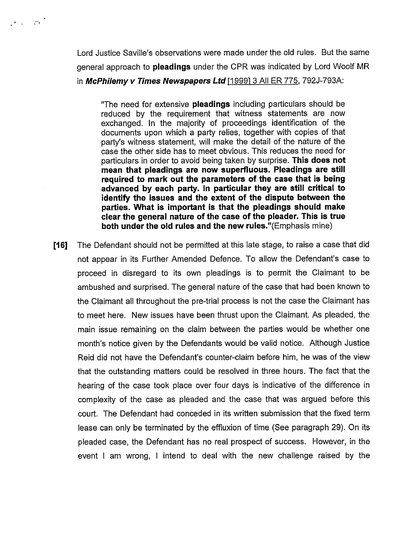Lord Justice Saville's observations were made under the old rules. But the same general approach to pleadings under the CPR was indicated by Lord Woolf MR in McPhilemy v Times Newspapers Ltd  $[1999]$  3 All ER 775, 792J-793A:

"The need for extensive pleadings including particulars should be reduced by the requirement that witness statements are now exchanged. In the majority of proceedings identification of the documents upon which a party relies, together with copies of that party's witness statement, will make the detail of the nature of the case the other side has to meet obvious. This reduces the need for particulars in order to avoid being taken by surprise. This does not mean that pleadings are now superfluous. Pleadings are still required to mark out the parameters of the case that is being advanced by each party. In particular they are still critical to identify the issues and the extent of the dispute between the parties. What is important is that the pleadings should make clear the general nature of the case of the pleader. This is true both under the old rules and the new rules."(Emphasis mine)

[16] The Defendant should not be permitted at this late stage, to raise a case that did not appear in its Further Amended Defence. To allow the Defendant's case to proceed in disregard to its own pleadings is to permit the Claimant to be ambushed and surprised. The general nature of the case that had been known to the Claimant all throughout the pre-trial process is not the case the Claimant has to meet here. New issues have been thrust upon the Claimant. As pleaded, the main issue remaining on the claim between the parties would be whether one month's notice given by the Defendants would be valid notice. Although Justice Reid did not have the Defendant's counter-claim before him, he was of the view that the outstanding matters could be resolved in three hours. The fact that the hearing of the case took place over four days is indicative of the difference in complexity of the case as pleaded and the case that was argued before this court. The Defendant had conceded in its written submission that the fixed term lease can only be terminated by the effluxion of time (See paragraph 29). On its pleaded case, the Defendant has no real prospect of success. However, in the event <sup>I</sup> am wrong, <sup>I</sup> intend to deal with the new challenge raised by the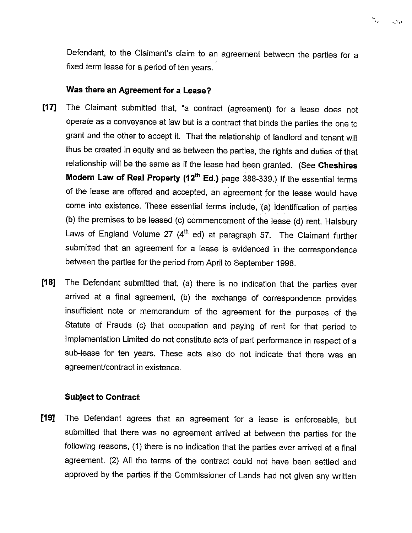

Defendant, to the Claimant's claim to an agreement between the parties for a fixed term lease for a period of ten years.

#### Was there an Agreement for a Lease?

- [17] The Claimant submitted that, 'a contract (agreement) for a lease does not operate as a conveyance at law but is a contract that binds the parties the one to grant and the other to accept it. That the relationship of landlord and tenant will thus be created in equity and as between the parties, the rights and duties of that relationship will be the same as if the lease had been granted. (See Cheshires Modern Law of Real Property (12<sup>th</sup> Ed.) page 388-339.) If the essential terms of the lease are offered and accepted, an agreement for the lease would have come into existence. These essential terms include, (a) identification of parties (b) the premises to be leased (c) commencement of the lease (d) rent. Halsbury Laws of England Volume 27  $(4<sup>th</sup>$  ed) at paragraph 57. The Claimant further submitted that an agreement for a lease is evidenced in the correspondence between the parties for the period from April to September 1998.
- [18] The Defendant submitted that, (a) there is no indication that the parties ever arrived at a final agreement, (b) the exchange of correspondence provides insufficient note or memorandum of the agreement for the purposes of the Statute of Frauds (c) that occupation and paying of rent for that period to Implementation Limited do not constitute acts of part performance in respect of a sub-lease for ten years. These acts also do not indicate that there was an agreement/contract in existence.

### Subject to Contract

[19] The Defendant agrees that an agreement for a lease is enforceable, but submitted that there was no agreement arrived at between the parties for the following reasons, (1) there is no indication that the parties ever arrived at a final agreement. (2) All the terms of the contract could not have been settled and approved by the parties if the Commissioner of Lands had not given any written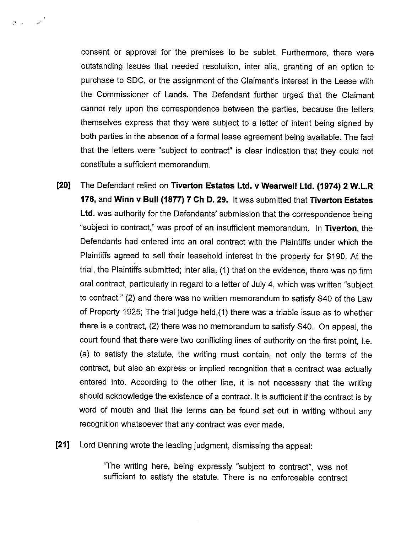consent or approval for the premises to be sublet. Furthermore, there were outstanding issues that needed resolution, inter alia, granting of an option to purchase to SDC, or the assignment of the Claimant's interest in the Lease with the Commissioner of Lands. The Defendant further urged that the Claimant cannot rely upon the correspondence between the parties, because the letters themselves express that they were subject to a letter of intent being signed by both parties in the absence of a formal lease agreement being available. The fact that the letters were "subject to contract" is clear indication that they could not constitute a sufficient memorandum.

'4.

- [20] The Defendant relied on Tiverton Estates Ltd. v Wearwell Ltd. (1974) 2 W.L.R 176, and Winn v Bull (1877) 7 Ch D. 29. It was submitted that Tiverton Estates Ltd. was authority for the Defendants' submission that the correspondence being "subject to contract," was proof of an insufficient memorandum. In Tiverton, the Defendants had entered into an oral contract with the Plaintiffs under which the Plaintiffs agreed to sell their leasehold interest in the property for \$190. At the trial, the Plaintiffs submitted; inter alia, (1) that on the evidence, there was no firm oral contract, particularly in regard to a letter of July 4, which was written "subject to contract." (2) and there was no written memorandum to satisfy S40 of the Law of Property 1925; The trial judge held,(1) there was a triable issue as to whether there is a contract, (2) there was no memorandum to satisfy S40. On appeal, the court found that there were two conflicting lines of authority on the first point, i.e. (a) to satisfy the statute, the writing must contain, not only the terms of the contract, but also an express or implied recognition that a contract was actually entered into. According to the other line, it is not necessary that the writing should acknowledge the existence of a contract. It is sufficient if the contract is by word of mouth and that the terms can be found set out in writing without any recognition whatsoever that any contract was ever made.
- [21] Lord Denning wrote the leading judgment, dismissing the appeal:

"The writing here, being expressly "subject to contract", was not sufficient to satisfy the statute. There is no enforceable contract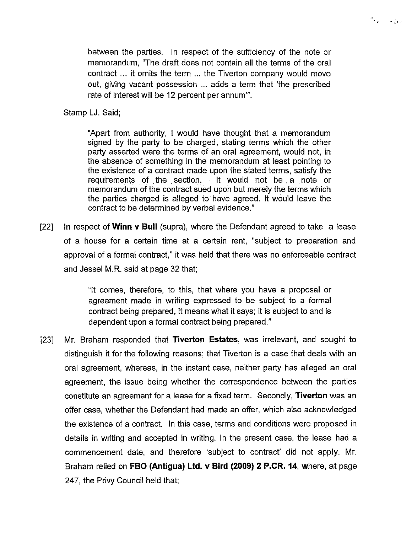between the parties. In respect of the sufficiency of the note or memorandum, "The draft does not contain all the terms of the oral contract ... it omits the term ... the Tiverton company would move out, giving vacant possession ... adds a term that 'the prescribed rate of interest will be 12 percent per annum'".

 $\sigma_{\rm{esc}} = \pm \frac{1}{64}$ 

Stamp LJ. Said;

"Apart from authority, <sup>I</sup> would have thought that a memorandum signed by the party to be charged, stating terms which the other party asserted were the terms of an oral agreement, would not, in the absence of something in the memorandum at least pointing to the existence of a contract made upon the stated terms, satisfy the requirements of the section. It would not be a note or memorandum of the contract sued upon but merely the terms which the parties charged is alleged to have agreed. It would leave the contract to be determined by verbal evidence."

[22] In respect of **Winn v Bull** (supra), where the Defendant agreed to take a lease of a house for a certain time at a certain rent, "subject to preparation and approval of a formal contract," it was held that there was no enforceable contract and Jessel M.R. said at page 32 that;

> "It comes, therefore, to this, that where you have a proposal or agreement made in writing expressed to be subject to a formal contract being prepared, it means what it says; it is subject to and is dependent upon a formal contract being prepared."

[23] Mr. Braham responded that **Tiverton Estates**, was irrelevant, and sought to distinguish it for the following reasons; that Tiverton is a case that deals with an oral agreement, whereas, in the instant case, neither party has alleged an oral agreement, the issue being whether the correspondence between the parties constitute an agreement for a lease for a fixed term. Secondly, **Tiverton** was an offer case, whether the Defendant had made an offer, which also acknowledged the existence of a contract. In this case, terms and conditions were proposed in details in writing and accepted in writing. In the present case, the lease had a commencement date, and therefore 'subject to contract' did not apply. Mr. Braham relied on FBO (Antigua) Ltd. v Bird (2009) 2 P.CR. 14, where, at page 247, the Privy Council held that;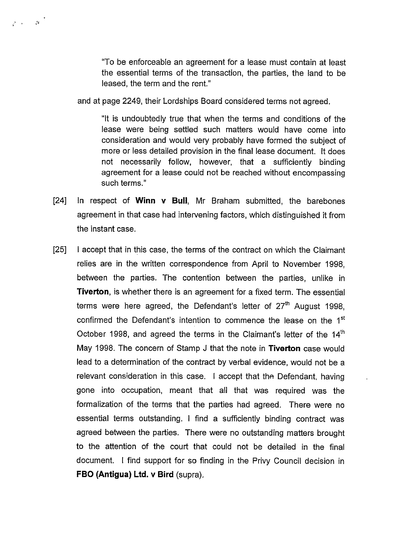"To be enforceable an agreement for a lease must contain at least the essential terms of the transaction, the parties, the land to be leased, the term and the rent."

and at page 2249, their Lordships Board considered terms not agreed.

:4

"It is undoubtedly true that when the terms and conditions of the lease were being settled such matters would have come into consideration and would very probably have formed the subject of more or less detailed provision in the final lease document. It does not necessarily follow, however, that a sufficiently binding agreement for a lease could not be reached without encompassing such terms."

- [24] In respect of **Winn v Bull**, Mr Braham submitted, the barebones agreement in that case had intervening factors, which distinguished it from the instant case.
- [25] <sup>I</sup> accept that in this case, the terms of the contract on which the Claimant relies are in the written correspondence from April to November 1998, between the parties. The contention between the parties, unlike in **Tiverton**, is whether there is an agreement for a fixed term. The essential terms were here agreed, the Defendant's letter of  $27<sup>th</sup>$  August 1998, confirmed the Defendant's intention to commence the lease on the 1<sup>st</sup> October 1998, and agreed the terms in the Claimant's letter of the  $14<sup>th</sup>$ May 1998. The concern of Stamp J that the note in Tiverton case would lead to a determination of the contract by verbal evidence, would not be a relevant consideration in this case. <sup>I</sup> accept that the Defendant, having gone into occupation, meant that all that was required was the formalization of the terms that the parties had agreed. There were no essential terms outstanding. <sup>I</sup> find a sufficiently binding contract was agreed between the parties. There were no outstanding matters brought to the attention of the court that could not be detailed in the final document. <sup>I</sup> find support for so finding in the Privy Council decision in FBO (Antigua) Ltd. v Bird (supra).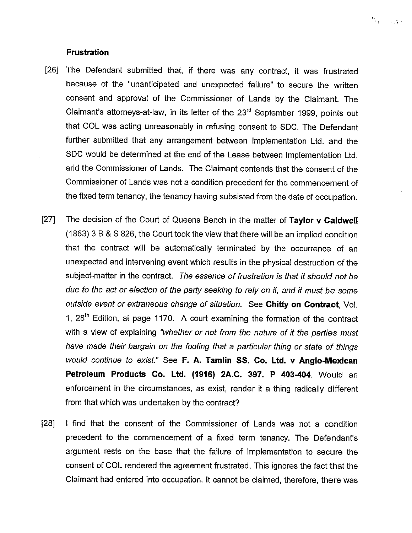#### Frustration

[26] The Defendant submitted that, if there was any contract, it was frustrated because of the "unanticipated and unexpected failure" to secure the written consent and approval of the Commissioner of Lands by the Claimant. The Claimant's attorneys-at-law, in its letter of the  $23<sup>rd</sup>$  September 1999, points out that CCL was acting unreasonably in refusing consent to SDC. The Defendant further submitted that any arrangement between Implementation Ltd. and the SDC would be determined at the end of the Lease between Implementation Ltd. arid the Commissioner of Lands. The Claimant contends that the consent of the Commissioner of Lands was not a condition precedent for the commencement of the fixed term tenancy, the tenancy having subsisted from the date of occupation.

'. -:~

- [27] The decision of the Court of Queens Bench in the matter of Taylor v Caldwell (1863) 3 B & S 826, the Court took the view that there will be an implied condition that the contract will be automatically terminated by the occurrence of an unexpected and intervening event which results in the physical destruction of the subject-matter in the contract. The essence of frustration is that it should not be due to the act or election of the party seeking to rely on it, and it must be some outside event or extraneous change of situation. See Chitty on Contract, Vol. 1,  $28<sup>th</sup>$  Edition, at page 1170. A court examining the formation of the contract with a view of explaining "whether or not from the nature of it the parties must have made their bargain on the footing that a particular thing or state of things would continue to exist." See F. A. Tamlin SS. Co. Ltd. v Anglo-Mexican Petroleum Products Co. Ltd. (1916) 2A.C. 397. P 403-404. Would an enforcement in the circumstances, as exist, render it a thing radically different from that which was undertaken by the contract?
- [28] <sup>I</sup> find that the consent of the Commissioner of Lands was not a condition precedent to the commencement of a fixed term tenancy. The Defendant's argument rests on the base that the failure of Implementation to secure the consent of CCL rendered the agreement frustrated. This ignores the fact that the Claimant had entered into occupation. It cannot be claimed, therefore, there was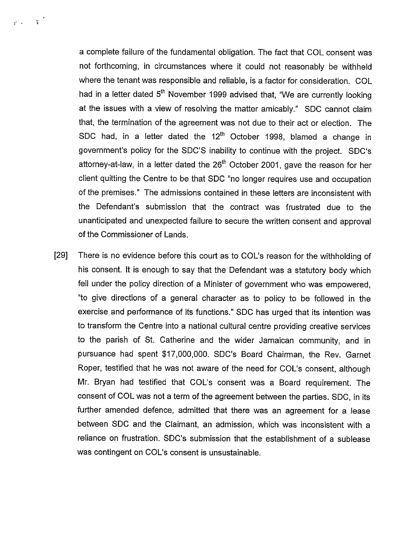a complete failure of the fundamental obligation. The fact that CCL consent was not forthcoming, in circumstances where it could not reasonably be withheld where the tenant was responsible and reliable, is a factor for consideration. COL had in a letter dated 5<sup>th</sup> November 1999 advised that, "We are currently looking at the issues with a view of resolving the matter amicably." SDC cannot claim that, the termination of the agreement was not due to their act or election. The SDC had, in a letter dated the  $12<sup>th</sup>$  October 1998, blamed a change in government's policy for the SDC'S inability to continue with the project. SDC's attorney-at-law, in a letter dated the  $26<sup>th</sup>$  October 2001, gave the reason for her client quitting the Centre to be that SDC "no longer requires use and occupation of the premises." The admissions contained in these letters are inconsistent with the Defendant's submission that the contract was frustrated due to the unanticipated and unexpected failure to secure the written consent and approval of the Commissioner of Lands.

 $\vec{x}$  .  $\vec{x}$  .

[29] There is no evidence before this court as to COL's reason for the withholding of his consent. It is enough to say that the Defendant was a statutory body which fell under the policy direction of a Minister of government who was empowered, "to give directions of a general character as to policy to be followed in the exercise and performance of its functions." SDC has urged that its intention was to transform the Centre into a national cultural centre providing creative services to the parish of St. Catherine and the wider Jamaican community, and in pursuance had spent \$17,000,000. SDC's Board Chairman, the Rev. Garnet Roper, testified that he was not aware of the need for COL's consent, although Mr. Bryan had testified that COL's consent was a Board requirement. The consent of CCL was not a term of the agreement between the parties. SDC, in its further amended defence, admitted that there was an agreement for a lease between SDC and the Claimant, an admission, which was inconsistent with a reliance on frustration. SDC's submission that the establishment of a sublease was contingent on COL's consent is unsustainable.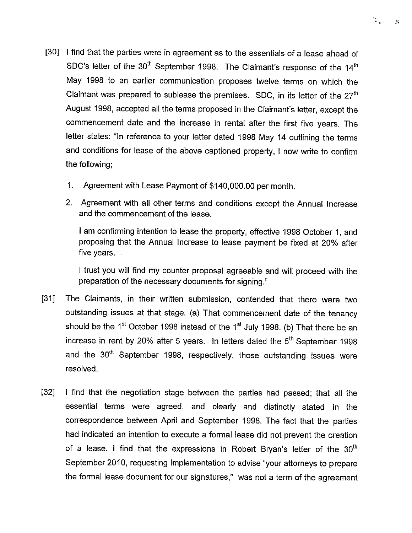- [30] <sup>I</sup> find that the parties were in agreement as to the essentials of a lease ahead of SDC's letter of the  $30<sup>th</sup>$  September 1998. The Claimant's response of the 14<sup>th</sup> May 1998 to an earlier communication proposes twelve terms on which the Claimant was prepared to sublease the premises. SDC, in its letter of the  $27<sup>th</sup>$ August 1998, accepted all the terms proposed in the Claimant's letter, except the commencement date and the increase in rental after the first five years. The letter states: "In reference to your letter dated 1998 May 14 outlining the terms and conditions for lease of the above captioned property, <sup>I</sup> now write to confirm the following;
	- 1. Agreement with Lease Payment of \$140,000.00 per month.
	- 2. Agreement with all other terms and conditions except the Annual Increase and the commencement of the lease.

<sup>I</sup> am confirming intention to lease the property, effective 1998 October 1, and proposing that the Annual Increase to lease payment be fixed at 20% after five years.

<sup>I</sup> trust you will find my counter proposal agreeable and will proceed with the preparation of the necessary documents for signing."

- [311 The Claimants, in their written submission, contended that there were two outstanding issues at that stage. (a) That commencement date of the tenancy should be the 1<sup>st</sup> October 1998 instead of the 1<sup>st</sup> July 1998. (b) That there be an increase in rent by 20% after 5 years. In letters dated the  $5<sup>th</sup>$  September 1998 and the 30<sup>th</sup> September 1998, respectively, those outstanding issues were resolved.
- [32] <sup>I</sup> find that the negotiation stage between the parties had passed; that all the essential terms were agreed, and clearly and distinctly stated in the correspondence between April and September 1998. The fact that the parties had indicated an intention to execute a formal lease did not prevent the creation of a lease. I find that the expressions in Robert Bryan's letter of the  $30<sup>th</sup>$ September 2010, requesting Implementation to advise "your attorneys to prepare the formal lease document for our signatures," was not a term of the agreement

 $\frac{\epsilon_1}{\epsilon_0}$  $\mathcal{M}$  .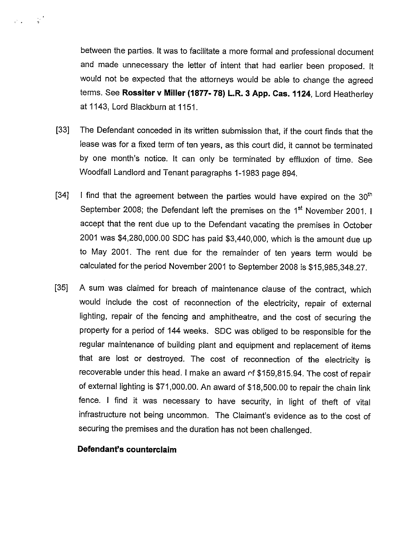between the parties. It was to facilitate a more formal and professional document and made unnecessary the letter of intent that had earlier been proposed. It would not be expected that the attorneys would be able to change the agreed terms. See Rossiter v Miller (1877- 78) L.R. 3 App. Cas. 1124, Lord Heatherley at 1143, Lord Blackburn at 1151.

- [33] The Defendant conceded in its written submission that, if the court finds that the lease was for a fixed term of ten years, as this court did, it cannot be terminated by one month's notice. It can only be terminated by effluxion of time. See Woodfall Landlord and Tenant paragraphs 1-1983 page 894.
- [34] I find that the agreement between the parties would have expired on the  $30<sup>th</sup>$ September 2008; the Defendant left the premises on the 1<sup>st</sup> November 2001. I accept that the rent due up to the Defendant vacating the premises in October 2001 was \$4,280,000.00 SDC has paid \$3,440,000, which is the amount due up to May 2001. The rent due for the remainder of ten years term would be calculated for the period November 2001 to September 2008 is \$15,985,348.27.
- [35] A sum was claimed for breach of maintenance clause of the contract, which would include the cost of reconnection of the electricity, repair of external lighting, repair of the fencing and amphitheatre, and the cost of securing the property for a period of 144 weeks. SDC was obliged to be responsible for the regular maintenance of building plant and equipment and replacement of items that are lost or destroyed. The cost of reconnection of the electricity is recoverable under this head. I make an award of \$159,815.94. The cost of repair of external lighting is \$71,000.00. An award of \$18,500.00 to repair the chain link fence. <sup>I</sup> find it was necessary to have security, in light of theft of vital infrastructure not being uncommon. The Claimant's evidence as to the cost of securing the premises and the duration has not been challenged.

#### Defendant's counterclaim

 $\label{eq:1} \mathcal{C}(\mathbf{x}) = \mathcal{C} \mathbf{x}^T$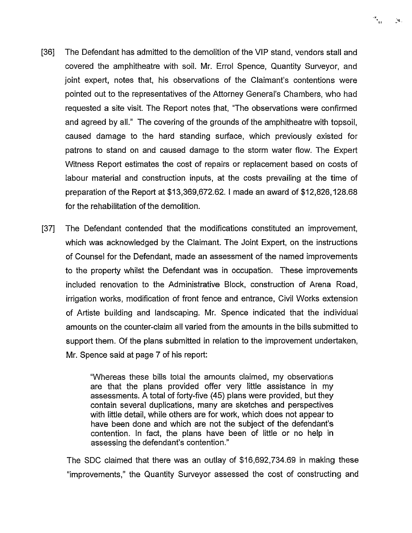

- [36] The Defendant has admitted to the demolition of the VIP stand, vendors stall and covered the amphitheatre with soil. Mr. Errol Spence, Quantity Surveyor, and joint expert, notes that, his observations of the Claimant's contentions were pointed out to the representatives of the Attorney General's Chambers, who had requested a site visit. The Report notes that, "The observations were confirmed and agreed by all." The covering of the grounds of the amphitheatre with topsoil, caused damage to the hard standing surface, which previously existed for patrons to stand on and caused damage to the storm water flow. The Expert Witness Report estimates the cost of repairs or replacement based on costs of labour material and construction inputs, at the costs prevailing at the time of preparation of the Report at \$13,369,672.62. <sup>I</sup> made an award of \$12,826,128.68 for the rehabilitation of the demolition.
- [37] The Defendant contended that the modifications constituted an improvement, which was acknowledged by the Claimant. The Joint Expert, on the instructions of Counsel for the Defendant, made an assessment of the named improvements to the property whilst the Defendant was in occupation. These improvements included renovation to the Administrative Block, construction of Arena Road, irrigation works, modification of front fence and entrance, Civil Works extension of Artiste building and landscaping. Mr. Spence indicated that the individual amounts on the counter-claim all varied from the amounts in the bills submitted to support them. Of the plans submitted in relation to the improvement undertaken, Mr. Spence said at page 7 of his report:

"Whereas these bills total the amounts claimed, my observations are that the plans provided offer very little assistance in my assessments. A total of forty-five (45) plans were provided, but they contain several duplications, many are sketches and perspectives with little detail, while others are for work, which does not appear to have been done and which are not the subject of the defendant's contention. In fact, the plans have been of little or no help in assessing the defendant's contention."

The SDC claimed that there was an outlay of \$16,692,734.69 in making these "improvements," the Quantity Surveyor assessed the cost of constructing and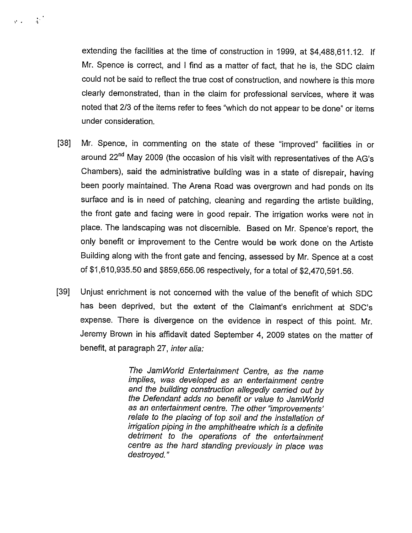extending the facilities at the time of construction in 1999, at \$4,488,611.12. If Mr. Spence is correct, and <sup>I</sup> find as a matter of fact, that he is, the SDC claim could not be said to reflect the true cost of construction, and nowhere is this more clearly demonstrated, than in the claim for professional services, where it was noted that 2/3 of the items refer to fees "which do not appear to be done" or items under consideration.

 $\label{eq:10} Y^{\mathcal{C}}(x) = \frac{1}{\sqrt{2\pi}}\left[ \frac{1}{2\sqrt{2\pi}}\right]$ 

- [38] Mr. Spence, in commenting on the state of these "improved" facilities in or around 22<sup>nd</sup> May 2009 (the occasion of his visit with representatives of the AG's Chambers), said the administrative building was in a state of disrepair, having been poorly maintained. The Arena Road was overgrown and had ponds on its surface and is in need of patching, cleaning and regarding the artiste building, the front gate and facing were in good repair. The irrigation works were not in place. The landscaping was not discernible. Based on Mr. Spence's report, the only benefit or improvement to the Centre would be work done on the Artiste Building along with the front gate and fencing, assessed by Mr. Spence at a cost of \$1,610,935.50 and \$859,656.06 respectively, for a total of \$2,470,591.56.
- [39] Unjust enrichment is not concerned with the value of the benefit of which SDC has been deprived, but the extent of the Claimant's enrichment at SDC's expense. There is divergence on the evidence in respect of this point. Mr. Jeremy Brown in his affidavit dated September 4, 2009 states on the matter of benefit, at paragraph 27, *inter alia:*

The JamWorld Entertainment Centre, as the name implies, was developed as an entertainment centre and the building construction allegedly carried out by the Defendant adds no benefit or value to Jam World as an entertainment centre. The other "improvements' relate to the placing of top soil and the installation of irrigation piping in the amphitheatre which is a definite detriment to the operations of the entertainment centre as the hard standing previously in place was destroyed."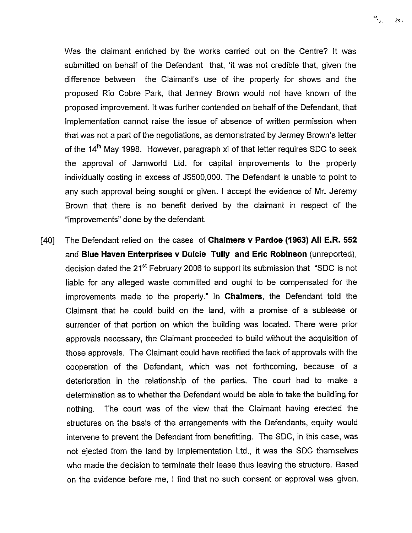Was the claimant enriched by the works carried out on the Centre? It was submitted on behalf of the Defendant that, 'it was not credible that, given the difference between the Claimant's use of the property for shows and the proposed Rio Cobre Park, that Jermey Brown would not have known of the proposed improvement. It was further contended on behalf of the Defendant, that Implementation cannot raise the issue of absence of written permission when that was not a part of the negotiations, as demonstrated by Jermey Brown's letter of the  $14<sup>th</sup>$  May 1998. However, paragraph xi of that letter requires SDC to seek the approval of Jamworld Ltd. for capital improvements to the property individually costing in excess of J\$500,000. The Defendant is unable to point to any such approval being sought or given. <sup>I</sup> accept the evidence of Mr. Jeremy Brown that there is no benefit derived by the claimant in respect of the "improvements" done by the defendant.

[40] The Defendant relied on the cases of Chalmers v Pardoe (1963) All E.R. 552 and Blue Haven Enterprises v Dulcie Tully and Eric Robinson (unreported), decision dated the 21<sup>st</sup> February 2006 to support its submission that "SDC is not liable for any alleged waste committed and ought to be compensated for the improvements made to the property." In Chalmers, the Defendant told the Claimant that he could build on the land, with a promise of a sublease or surrender of that portion on which the building was located. There were prior approvals necessary, the Claimant proceeded to build without the acquisition of those approvals. The Claimant could have rectified the lack of approvals with the cooperation of the Defendant, which was not forthcoming, because of a deterioration in the relationship of the parties. The court had to make a determination as to whether the Defendant would be able to take the building for nothing. The court was of the view that the Claimant having erected the structures on the basis of the arrangements with the Defendants, equity would intervene to prevent the Defendant from benefitting. The SDC, in this case, was not ejected from the land by Implementation Ltd., it was the SDC themselves who made the decision to terminate their lease thus leaving the structure. Based on the evidence before me, <sup>I</sup> find that no such consent or approval was given.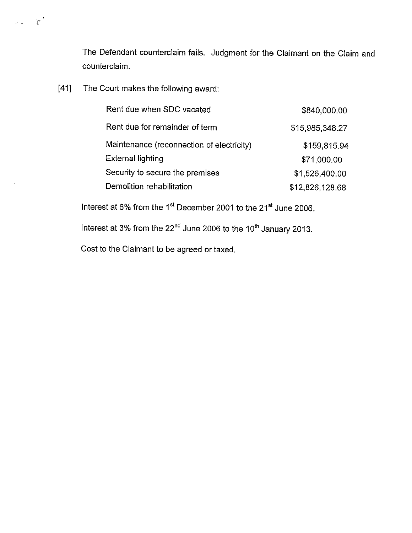The Defendant counterclaim fails. Judgment for the Claimant on the Claim and counterclaim.

[41] The Court makes the following award:

 $\frac{1}{2} \frac{1}{2} \left( \frac{1}{2} \right) \left( \frac{1}{2} \right)$ 

| Rent due when SDC vacated                 | \$840,000.00    |
|-------------------------------------------|-----------------|
| Rent due for remainder of term            | \$15,985,348.27 |
| Maintenance (reconnection of electricity) | \$159,815.94    |
| <b>External lighting</b>                  | \$71,000.00     |
| Security to secure the premises           | \$1,526,400.00  |
| Demolition rehabilitation                 | \$12,826,128.68 |

Interest at 6% from the 1<sup>st</sup> December 2001 to the 21<sup>st</sup> June 2006.

Interest at 3% from the  $22<sup>nd</sup>$  June 2006 to the 10<sup>th</sup> January 2013.

Cost to the Claimant to be agreed or taxed.